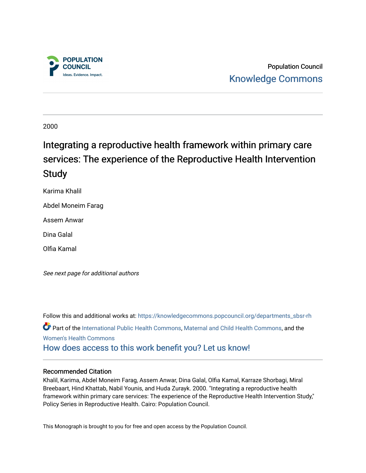

Population Council [Knowledge Commons](https://knowledgecommons.popcouncil.org/) 

2000

# Integrating a reproductive health framework within primary care services: The experience of the Reproductive Health Intervention Study

Karima Khalil

Abdel Moneim Farag

Assem Anwar

Dina Galal

Olfia Kamal

See next page for additional authors

Follow this and additional works at: [https://knowledgecommons.popcouncil.org/departments\\_sbsr-rh](https://knowledgecommons.popcouncil.org/departments_sbsr-rh?utm_source=knowledgecommons.popcouncil.org%2Fdepartments_sbsr-rh%2F1848&utm_medium=PDF&utm_campaign=PDFCoverPages)  Part of the [International Public Health Commons](https://network.bepress.com/hgg/discipline/746?utm_source=knowledgecommons.popcouncil.org%2Fdepartments_sbsr-rh%2F1848&utm_medium=PDF&utm_campaign=PDFCoverPages), [Maternal and Child Health Commons](https://network.bepress.com/hgg/discipline/745?utm_source=knowledgecommons.popcouncil.org%2Fdepartments_sbsr-rh%2F1848&utm_medium=PDF&utm_campaign=PDFCoverPages), and the [Women's Health Commons](https://network.bepress.com/hgg/discipline/1241?utm_source=knowledgecommons.popcouncil.org%2Fdepartments_sbsr-rh%2F1848&utm_medium=PDF&utm_campaign=PDFCoverPages) [How does access to this work benefit you? Let us know!](https://pcouncil.wufoo.com/forms/open-access-to-population-council-research/)

#### Recommended Citation

Khalil, Karima, Abdel Moneim Farag, Assem Anwar, Dina Galal, Olfia Kamal, Karraze Shorbagi, Miral Breebaart, Hind Khattab, Nabil Younis, and Huda Zurayk. 2000. "Integrating a reproductive health framework within primary care services: The experience of the Reproductive Health Intervention Study," Policy Series in Reproductive Health. Cairo: Population Council.

This Monograph is brought to you for free and open access by the Population Council.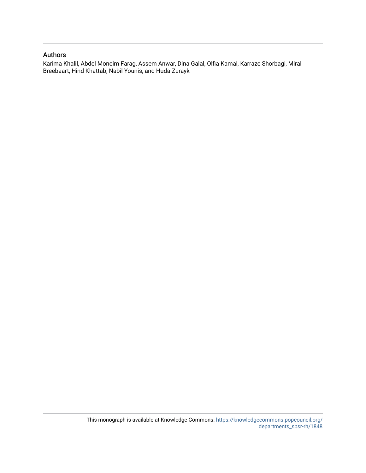## Authors

Karima Khalil, Abdel Moneim Farag, Assem Anwar, Dina Galal, Olfia Kamal, Karraze Shorbagi, Miral Breebaart, Hind Khattab, Nabil Younis, and Huda Zurayk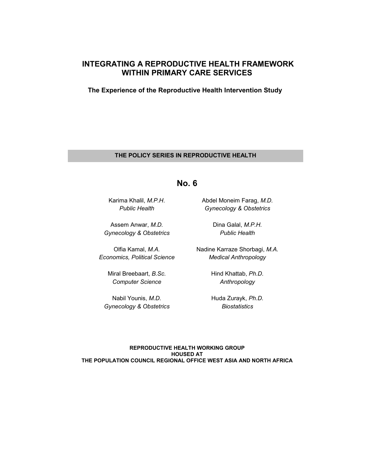# **INTEGRATING A REPRODUCTIVE HEALTH FRAMEWORK WITHIN PRIMARY CARE SERVICES**

**The Experience of the Reproductive Health Intervention Study**

## **THE POLICY SERIES IN REPRODUCTIVE HEALTH**

**No. 6** 

Karima Khalil, *M.P.H*. *Public Health*

Assem Anwar, *M.D. Gynecology & Obstetrics* 

Olfia Kamal, *M.A. Economics, Political Science* 

> Miral Breebaart, *B.Sc. Computer Science*

Nabil Younis, *M.D. Gynecology & Obstetrics*  Abdel Moneim Farag, *M.D. Gynecology & Obstetrics* 

> Dina Galal, *M.P.H. Public Health*

Nadine Karraze Shorbagi, *M.A. Medical Anthropology* 

> Hind Khattab, *Ph.D. Anthropology*

> Huda Zurayk, *Ph.D. Biostatistics*

**REPRODUCTIVE HEALTH WORKING GROUP HOUSED AT THE POPULATION COUNCIL REGIONAL OFFICE WEST ASIA AND NORTH AFRICA**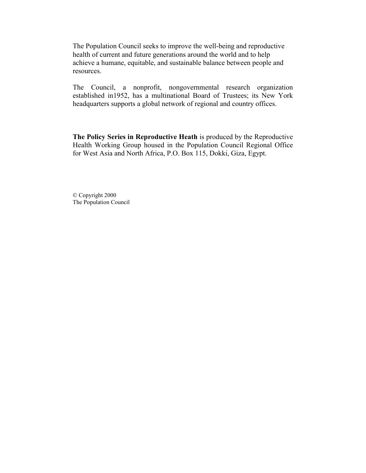The Population Council seeks to improve the well-being and reproductive health of current and future generations around the world and to help achieve a humane, equitable, and sustainable balance between people and resources.

The Council, a nonprofit, nongovernmental research organization established in1952, has a multinational Board of Trustees; its New York headquarters supports a global network of regional and country offices.

**The Policy Series in Reproductive Heath** is produced by the Reproductive Health Working Group housed in the Population Council Regional Office for West Asia and North Africa, P.O. Box 115, Dokki, Giza, Egypt.

© Copyright 2000 The Population Council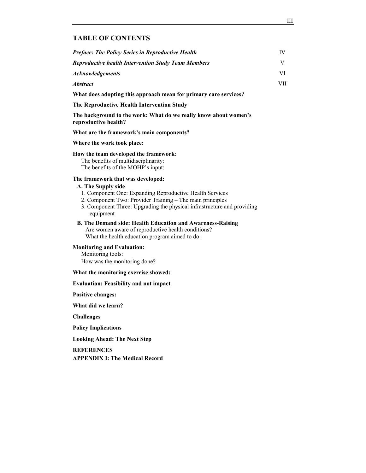#### **TABLE OF CONTENTS**

| <b>Preface: The Policy Series in Reproductive Health</b>   | IV   |
|------------------------------------------------------------|------|
| <b>Reproductive health Intervention Study Team Members</b> |      |
| <i><b>Acknowledgements</b></i>                             |      |
| <i><b>Abstract</b></i>                                     | VII. |

**What does adopting this approach mean for primary care services?** 

**The Reproductive Health Intervention Study** 

The background to the work: What do we really know about women's **reproductive health?** 

What are the framework's main components?

**Where the work took place:** 

#### **How the team developed the framework**:

The benefits of multidisciplinarity: The benefits of the MOHP's input:

#### **The framework that was developed:**

#### **A. The Supply side**

- 1. Component One: Expanding Reproductive Health Services
- 2. Component Two: Provider Training The main principles
- 3. Component Three: Upgrading the physical infrastructure and providing equipment
- **B. The Demand side: Health Education and Awareness-Raising**

Are women aware of reproductive health conditions? What the health education program aimed to do:

#### **Monitoring and Evaluation:**

Monitoring tools: How was the monitoring done?

#### **What the monitoring exercise showed:**

#### **Evaluation: Feasibility and not impact**

**Positive changes:** 

**What did we learn?** 

**Challenges** 

**Policy Implications** 

**Looking Ahead: The Next Step** 

**REFERENCES** 

**APPENDIX I: The Medical Record**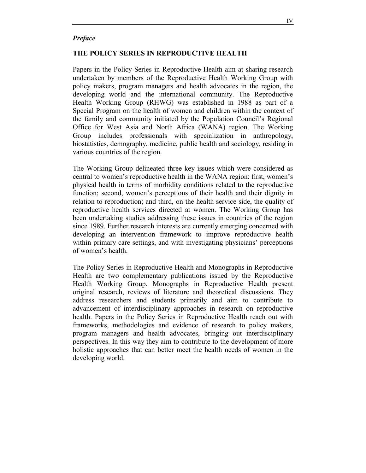## *Preface*

## **THE POLICY SERIES IN REPRODUCTIVE HEALTH**

Papers in the Policy Series in Reproductive Health aim at sharing research undertaken by members of the Reproductive Health Working Group with policy makers, program managers and health advocates in the region, the developing world and the international community. The Reproductive Health Working Group (RHWG) was established in 1988 as part of a Special Program on the health of women and children within the context of the family and community initiated by the Population Council's Regional Office for West Asia and North Africa (WANA) region. The Working Group includes professionals with specialization in anthropology, biostatistics, demography, medicine, public health and sociology, residing in various countries of the region.

The Working Group delineated three key issues which were considered as central to women's reproductive health in the WANA region: first, women's physical health in terms of morbidity conditions related to the reproductive function; second, women's perceptions of their health and their dignity in relation to reproduction; and third, on the health service side, the quality of reproductive health services directed at women. The Working Group has been undertaking studies addressing these issues in countries of the region since 1989. Further research interests are currently emerging concerned with developing an intervention framework to improve reproductive health within primary care settings, and with investigating physicians' perceptions of women's health.

The Policy Series in Reproductive Health and Monographs in Reproductive Health are two complementary publications issued by the Reproductive Health Working Group. Monographs in Reproductive Health present original research, reviews of literature and theoretical discussions. They address researchers and students primarily and aim to contribute to advancement of interdisciplinary approaches in research on reproductive health. Papers in the Policy Series in Reproductive Health reach out with frameworks, methodologies and evidence of research to policy makers, program managers and health advocates, bringing out interdisciplinary perspectives. In this way they aim to contribute to the development of more holistic approaches that can better meet the health needs of women in the developing world.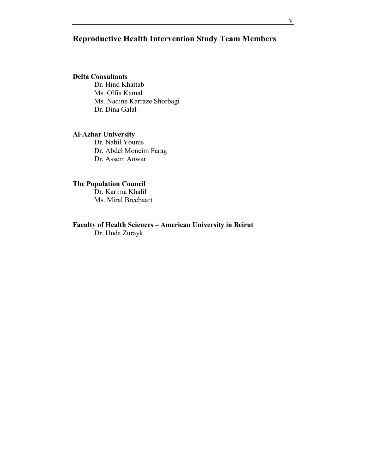# **Reproductive Health Intervention Study Team Members**

## **Delta Consultants**

Dr. Hind Khattab Ms. Olfia Kamal Ms. Nadine Karraze Shorbagi Dr. Dina Galal

## **Al-Azhar University**

Dr. Nabil Younis Dr. Abdel Moneim Farag Dr. Assem Anwar

## **The Population Council**

Dr. Karima Khalil Ms. Miral Breebaart

# Faculty of Health Sciences - American University in Beirut

Dr. Huda Zurayk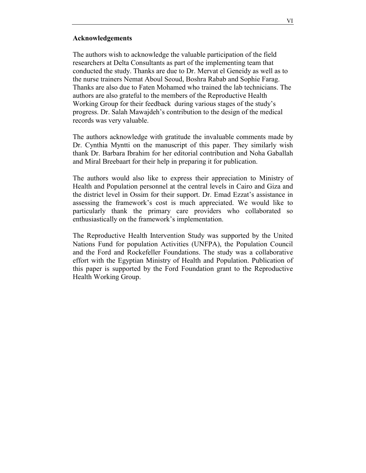## **Acknowledgements**

The authors wish to acknowledge the valuable participation of the field researchers at Delta Consultants as part of the implementing team that conducted the study. Thanks are due to Dr. Mervat el Geneidy as well as to the nurse trainers Nemat Aboul Seoud, Boshra Rabab and Sophie Farag. Thanks are also due to Faten Mohamed who trained the lab technicians. The authors are also grateful to the members of the Reproductive Health Working Group for their feedback during various stages of the study's progress. Dr. Salah Mawajdeh's contribution to the design of the medical records was very valuable.

The authors acknowledge with gratitude the invaluable comments made by Dr. Cynthia Myntti on the manuscript of this paper. They similarly wish thank Dr. Barbara Ibrahim for her editorial contribution and Noha Gaballah and Miral Breebaart for their help in preparing it for publication.

The authors would also like to express their appreciation to Ministry of Health and Population personnel at the central levels in Cairo and Giza and the district level in Ossim for their support. Dr. Emad Ezzat's assistance in assessing the framework's cost is much appreciated. We would like to particularly thank the primary care providers who collaborated so enthusiastically on the framework's implementation.

The Reproductive Health Intervention Study was supported by the United Nations Fund for population Activities (UNFPA), the Population Council and the Ford and Rockefeller Foundations. The study was a collaborative effort with the Egyptian Ministry of Health and Population. Publication of this paper is supported by the Ford Foundation grant to the Reproductive Health Working Group.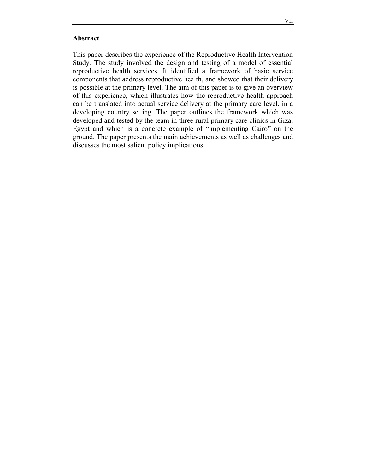## **Abstract**

This paper describes the experience of the Reproductive Health Intervention Study. The study involved the design and testing of a model of essential reproductive health services. It identified a framework of basic service components that address reproductive health, and showed that their delivery is possible at the primary level. The aim of this paper is to give an overview of this experience, which illustrates how the reproductive health approach can be translated into actual service delivery at the primary care level, in a developing country setting. The paper outlines the framework which was developed and tested by the team in three rural primary care clinics in Giza, Egypt and which is a concrete example of "implementing Cairo" on the ground. The paper presents the main achievements as well as challenges and discusses the most salient policy implications.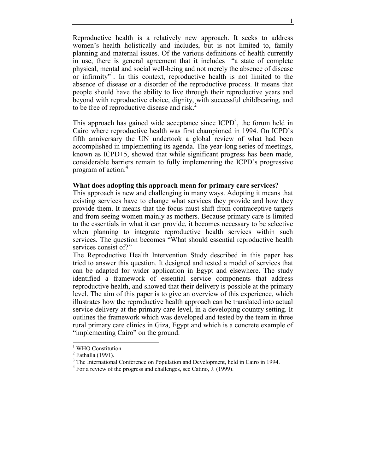Reproductive health is a relatively new approach. It seeks to address women's health holistically and includes, but is not limited to, family planning and maternal issues. Of the various definitions of health currently in use, there is general agreement that it includes "a state of complete physical, mental and social well-being and not merely the absence of disease or infirmity"<sup>1</sup>. In this context, reproductive health is not limited to the absence of disease or a disorder of the reproductive process. It means that people should have the ability to live through their reproductive years and beyond with reproductive choice, dignity, with successful childbearing, and to be free of reproductive disease and risk.<sup>2</sup>

This approach has gained wide acceptance since  $ICPD<sup>3</sup>$ , the forum held in Cairo where reproductive health was first championed in 1994. On ICPD's fifth anniversary the UN undertook a global review of what had been accomplished in implementing its agenda. The year-long series of meetings, known as ICPD+5, showed that while significant progress has been made, considerable barriers remain to fully implementing the ICPD's progressive program of action.<sup>4</sup>

#### **What does adopting this approach mean for primary care services?**

This approach is new and challenging in many ways. Adopting it means that existing services have to change what services they provide and how they provide them. It means that the focus must shift from contraceptive targets and from seeing women mainly as mothers. Because primary care is limited to the essentials in what it can provide, it becomes necessary to be selective when planning to integrate reproductive health services within such services. The question becomes "What should essential reproductive health services consist of?"

The Reproductive Health Intervention Study described in this paper has tried to answer this question. It designed and tested a model of services that can be adapted for wider application in Egypt and elsewhere. The study identified a framework of essential service components that address reproductive health, and showed that their delivery is possible at the primary level. The aim of this paper is to give an overview of this experience, which illustrates how the reproductive health approach can be translated into actual service delivery at the primary care level, in a developing country setting. It outlines the framework which was developed and tested by the team in three rural primary care clinics in Giza, Egypt and which is a concrete example of "implementing Cairo" on the ground.

l

<sup>&</sup>lt;sup>1</sup> WHO Constitution

<sup>&</sup>lt;sup>2</sup> Fathalla (1991).

<sup>&</sup>lt;sup>3</sup> The International Conference on Population and Development, held in Cairo in 1994.

<sup>&</sup>lt;sup>4</sup> For a review of the progress and challenges, see Catino, J. (1999).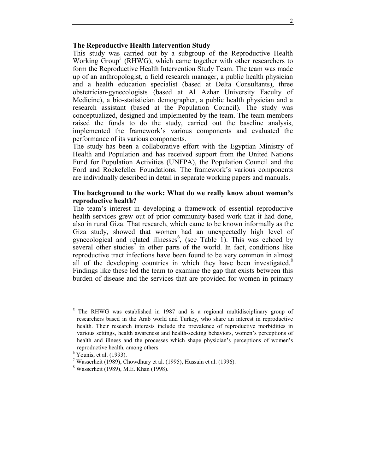## **The Reproductive Health Intervention Study**

This study was carried out by a subgroup of the Reproductive Health Working Group<sup>5</sup> (RHWG), which came together with other researchers to form the Reproductive Health Intervention Study Team. The team was made up of an anthropologist, a field research manager, a public health physician and a health education specialist (based at Delta Consultants), three obstetrician-gynecologists (based at Al Azhar University Faculty of Medicine), a bio-statistician demographer, a public health physician and a research assistant (based at the Population Council). The study was conceptualized, designed and implemented by the team. The team members raised the funds to do the study, carried out the baseline analysis, implemented the framework's various components and evaluated the performance of its various components.

The study has been a collaborative effort with the Egyptian Ministry of Health and Population and has received support from the United Nations Fund for Population Activities (UNFPA), the Population Council and the Ford and Rockefeller Foundations. The framework's various components are individually described in detail in separate working papers and manuals.

#### The background to the work: What do we really know about women's **reproductive health?**

The team's interest in developing a framework of essential reproductive health services grew out of prior community-based work that it had done, also in rural Giza. That research, which came to be known informally as the Giza study, showed that women had an unexpectedly high level of gynecological and related illnesses<sup>6</sup>, (see Table 1). This was echoed by several other studies<sup>7</sup> in other parts of the world. In fact, conditions like reproductive tract infections have been found to be very common in almost all of the developing countries in which they have been investigated. $8$ Findings like these led the team to examine the gap that exists between this burden of disease and the services that are provided for women in primary

l

<sup>5</sup> The RHWG was established in 1987 and is a regional multidisciplinary group of researchers based in the Arab world and Turkey, who share an interest in reproductive health. Their research interests include the prevalence of reproductive morbidities in various settings, health awareness and health-seeking behaviors, women's perceptions of health and illness and the processes which shape physician's perceptions of women's reproductive health, among others.

 $<sup>6</sup>$  Younis, et al. (1993).</sup>

<sup>&</sup>lt;sup>7</sup> Wasserheit (1989), Chowdhury et al. (1995), Hussain et al. (1996).

<sup>8</sup> Wasserheit (1989), M.E. Khan (1998).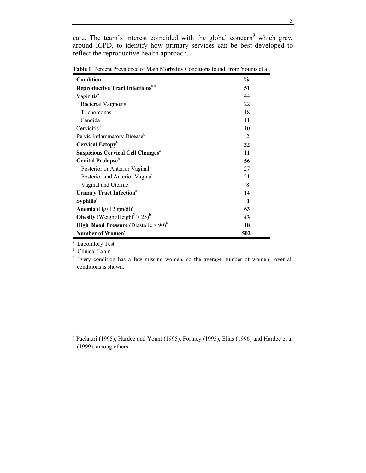care. The team's interest coincided with the global concern<sup>9</sup> which grew around ICPD, to identify how primary services can be best developed to reflect the reproductive health approach.

| Condition                                                     | $\frac{0}{0}$  |
|---------------------------------------------------------------|----------------|
| <b>Reproductive Tract Infections</b> <sup>a,b</sup>           | 51             |
| Vaginitis <sup>a</sup>                                        | 44             |
| <b>Bacterial Vaginosis</b>                                    | 22             |
| Trichomonas                                                   | 18             |
| Candida                                                       | 11             |
| Cervicitis <sup>b</sup>                                       | 10             |
| Pelvic Inflammatory Disease <sup>b</sup>                      | $\overline{2}$ |
| Cervical Ectopy <sup>b</sup>                                  | 22             |
| <b>Suspicious Cervical Cell Changes<sup>a</sup></b>           | 11             |
| Genital Prolapse <sup>b</sup>                                 | 56             |
| Posterior or Anterior Vaginal                                 | 27             |
| Posterior and Anterior Vaginal                                | 21             |
| Vaginal and Uterine                                           | 8              |
| <b>Urinary Tract Infection</b> <sup>a</sup>                   | 14             |
| $S$ yphilis <sup>a</sup>                                      | 1              |
| <b>Anemia</b> (Hg < 12 gm/dl) <sup>a</sup>                    | 63             |
| <b>Obesity</b> (Weight/Height <sup>2</sup> > 25) <sup>b</sup> | 43             |
| <b>High Blood Pressure</b> (Diastolic $> 90$ ) <sup>b</sup>   | 18             |
| Number of Women <sup>c</sup>                                  | 502            |

**Table 1** Percent Prevalence of Main Morbidity Conditions found, from Younis et al.

<sup>a</sup> Laboratory Test

<sup>b</sup> Clinical Exam

l

c Every condition has a few missing women, so the average number of women over all conditions is shown.

 $9$  Pachauri (1995), Hardee and Yount (1995), Fortney (1995), Elias (1996) and Hardee et al (1999), among others.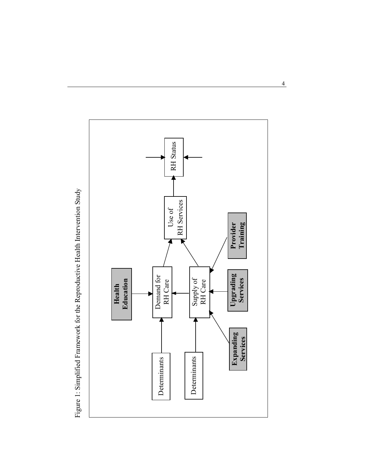

Figure 1: Simplified Framework for the Reproductive Health Intervention Study Figure 1: Simplified Framework for the Reproductive Health Intervention Study

4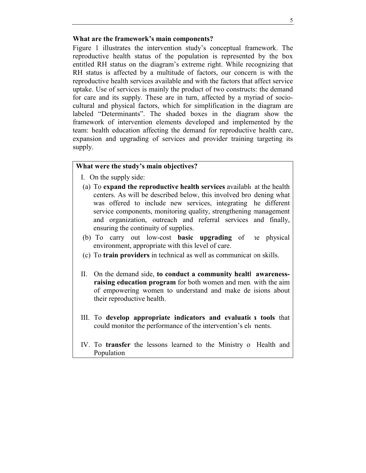## What are the framework's main components?

Figure 1 illustrates the intervention study's conceptual framework. The reproductive health status of the population is represented by the box entitled RH status on the diagram's extreme right. While recognizing that RH status is affected by a multitude of factors, our concern is with the reproductive health services available and with the factors that affect service uptake. Use of services is mainly the product of two constructs: the demand for care and its supply. These are in turn, affected by a myriad of sociocultural and physical factors, which for simplification in the diagram are labeled "Determinants". The shaded boxes in the diagram show the framework of intervention elements developed and implemented by the team: health education affecting the demand for reproductive health care, expansion and upgrading of services and provider training targeting its supply.

## What were the study's main objectives?

- I. On the supply side:
- (a) To **expand the reproductive health services** available at the health centers. As will be described below, this involved bro dening what was offered to include new services, integrating he different service components, monitoring quality, strengthening management and organization, outreach and referral services and finally, ensuring the continuity of supplies.
- (b) To carry out low-cost **basic upgrading** of the physical environment, appropriate with this level of care.
- (c) To **train providers** in technical as well as communication skills.
- II. On the demand side, **to conduct a community health awarenessraising education program** for both women and men, with the aim of empowering women to understand and make de isions about their reproductive health.
- III. To develop appropriate indicators and evaluation tools that could monitor the performance of the intervention's elements.
- IV. To **transfer** the lessons learned to the Ministry of Health and Population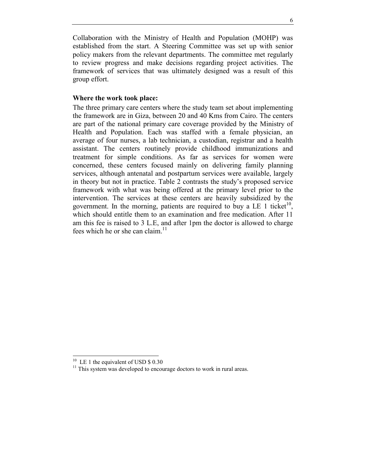Collaboration with the Ministry of Health and Population (MOHP) was established from the start. A Steering Committee was set up with senior policy makers from the relevant departments. The committee met regularly to review progress and make decisions regarding project activities. The framework of services that was ultimately designed was a result of this group effort.

## **Where the work took place:**

The three primary care centers where the study team set about implementing the framework are in Giza, between 20 and 40 Kms from Cairo. The centers are part of the national primary care coverage provided by the Ministry of Health and Population. Each was staffed with a female physician, an average of four nurses, a lab technician, a custodian, registrar and a health assistant. The centers routinely provide childhood immunizations and treatment for simple conditions. As far as services for women were concerned, these centers focused mainly on delivering family planning services, although antenatal and postpartum services were available, largely in theory but not in practice. Table 2 contrasts the study's proposed service framework with what was being offered at the primary level prior to the intervention. The services at these centers are heavily subsidized by the government. In the morning, patients are required to buy a LE 1 ticket<sup>10</sup>, which should entitle them to an examination and free medication. After 11 am this fee is raised to 3 L.E, and after 1pm the doctor is allowed to charge fees which he or she can claim.<sup>11</sup>

l

 $10$  LE 1 the equivalent of USD \$ 0.30

 $11$ <sup>11</sup> This system was developed to encourage doctors to work in rural areas.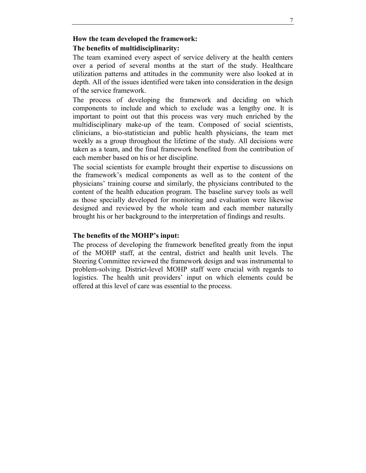## **How the team developed the framework:**

## **The benefits of multidisciplinarity:**

The team examined every aspect of service delivery at the health centers over a period of several months at the start of the study. Healthcare utilization patterns and attitudes in the community were also looked at in depth. All of the issues identified were taken into consideration in the design of the service framework.

The process of developing the framework and deciding on which components to include and which to exclude was a lengthy one. It is important to point out that this process was very much enriched by the multidisciplinary make-up of the team. Composed of social scientists, clinicians, a bio-statistician and public health physicians, the team met weekly as a group throughout the lifetime of the study. All decisions were taken as a team, and the final framework benefited from the contribution of each member based on his or her discipline.

The social scientists for example brought their expertise to discussions on the framework's medical components as well as to the content of the physicians' training course and similarly, the physicians contributed to the content of the health education program. The baseline survey tools as well as those specially developed for monitoring and evaluation were likewise designed and reviewed by the whole team and each member naturally brought his or her background to the interpretation of findings and results.

## The benefits of the MOHP's input:

The process of developing the framework benefited greatly from the input of the MOHP staff, at the central, district and health unit levels. The Steering Committee reviewed the framework design and was instrumental to problem-solving. District-level MOHP staff were crucial with regards to logistics. The health unit providers' input on which elements could be offered at this level of care was essential to the process.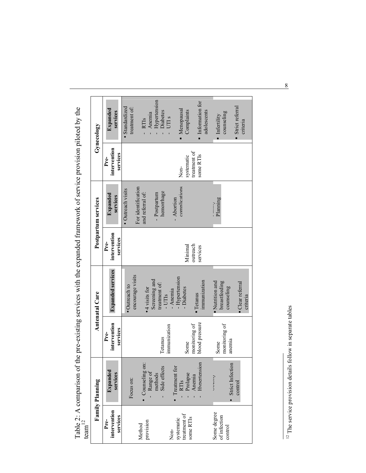| ົ<br>4 |                       |                    | of the pre-existing services with the expanded framework of service provision piloted by the |           |
|--------|-----------------------|--------------------|----------------------------------------------------------------------------------------------|-----------|
|        | <b>Antenatal Care</b> | ostpartum services |                                                                                              | ynecology |
|        |                       |                    |                                                                                              |           |

| Gynecology             | Expanded<br>services             | Hypertension<br>Standardized<br>treatment of:<br>Diabetes<br>Anemia<br>UTIs<br>- RTIs                   | Information for<br>Menopausal<br>Complaints<br>adolescents            | Strict referral<br>counseling<br>Infertility<br>criteria                   |
|------------------------|----------------------------------|---------------------------------------------------------------------------------------------------------|-----------------------------------------------------------------------|----------------------------------------------------------------------------|
|                        | intervention<br>services<br>Pre- |                                                                                                         | treatment of<br>some RTIs<br>systematic<br>Non-                       |                                                                            |
| Postpartum services    | Expanded<br>services             | For identification<br>· Outreach visits<br>hemorrhage<br>and referral of:<br>- Postpartum               | complications<br>- Abortion                                           | Planning                                                                   |
|                        | intervention<br>services<br>Pre- |                                                                                                         | outreach<br>Minimal<br>services                                       |                                                                            |
| Antenatal Care         | <b>Expanded services</b>         | encourage visits<br>Screening and<br>treatment of:<br>· Outreach to<br>$\bullet$ 4 visits for<br>- UTIs | - Hypertension<br>immunization<br>- Diabetes<br>- Anemia<br>- Tetanus | breastfeeding<br>Nutrition and<br>Clear referral<br>counseling<br>criteria |
|                        | intervention<br>services<br>Pre- | immunization<br>Tetanus                                                                                 | blood pressure<br>monitoring of<br>Some                               | monitoring of<br>anemia<br>Some                                            |
| <b>Family Planning</b> | Expanded<br>services             | Counseling on:<br>Side effects<br>- Range of<br>methods<br>Focus on:                                    | Hypertension<br>$\bullet$ Treatment for<br>RTIs<br>Prolapse<br>Anemia | Strict Infection<br>ת הנישיט ט<br>control                                  |
|                        | intervention<br>services<br>Pre- | provision<br>Method                                                                                     | treatment of<br>some RTIs<br>systematic<br>Non-                       | Some degree<br>of infection<br>control                                     |

 $12$  The service provision details follow in separate tables  $12$  The service provision details follow in separate tables

8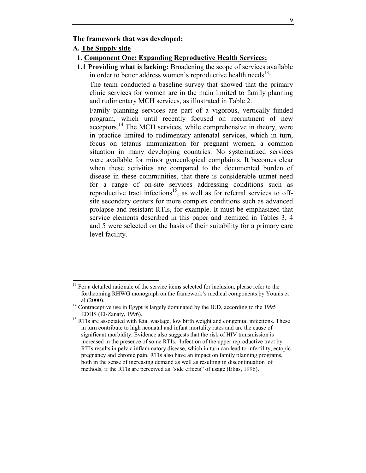#### **The framework that was developed:**

## **A. The Supply side**

l

## **1. Component One: Expanding Reproductive Health Services:**

**1.1 Providing what is lacking:** Broadening the scope of services available in order to better address women's reproductive health needs<sup>13</sup>:

The team conducted a baseline survey that showed that the primary clinic services for women are in the main limited to family planning and rudimentary MCH services, as illustrated in Table 2.

Family planning services are part of a vigorous, vertically funded program, which until recently focused on recruitment of new acceptors.14 The MCH services, while comprehensive in theory, were in practice limited to rudimentary antenatal services, which in turn, focus on tetanus immunization for pregnant women, a common situation in many developing countries. No systematized services were available for minor gynecological complaints. It becomes clear when these activities are compared to the documented burden of disease in these communities, that there is considerable unmet need for a range of on-site services addressing conditions such as reproductive tract infections<sup>15</sup>, as well as for referral services to offsite secondary centers for more complex conditions such as advanced prolapse and resistant RTIs, for example. It must be emphasized that service elements described in this paper and itemized in Tables 3, 4 and 5 were selected on the basis of their suitability for a primary care level facility.

 $13$  For a detailed rationale of the service items selected for inclusion, please refer to the forthcoming RHWG monograph on the framework's medical components by Younis et al (2000). 14 Contraceptive use in Egypt is largely dominated by the IUD, according to the 1995

EDHS (El-Zanaty, 1996).<br><sup>15</sup> RTIs are associated with fetal wastage, low birth weight and congenital infections. These in turn contribute to high neonatal and infant mortality rates and are the cause of significant morbidity. Evidence also suggests that the risk of HIV transmission is increased in the presence of some RTIs. Infection of the upper reproductive tract by RTIs results in pelvic inflammatory disease, which in turn can lead to infertility, ectopic pregnancy and chronic pain. RTIs also have an impact on family planning programs, both in the sense of increasing demand as well as resulting in discontinuation of methods, if the RTIs are perceived as "side effects" of usage (Elias, 1996).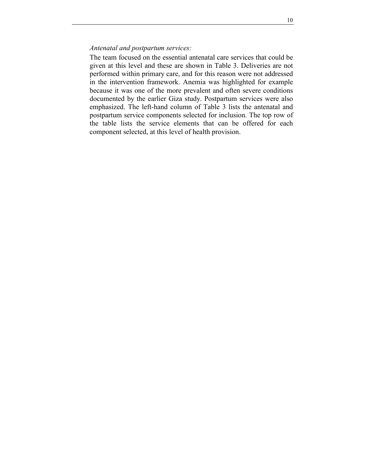## *Antenatal and postpartum services:*

The team focused on the essential antenatal care services that could be given at this level and these are shown in Table 3. Deliveries are not performed within primary care, and for this reason were not addressed in the intervention framework. Anemia was highlighted for example because it was one of the more prevalent and often severe conditions documented by the earlier Giza study. Postpartum services were also emphasized. The left-hand column of Table 3 lists the antenatal and postpartum service components selected for inclusion. The top row of the table lists the service elements that can be offered for each component selected, at this level of health provision.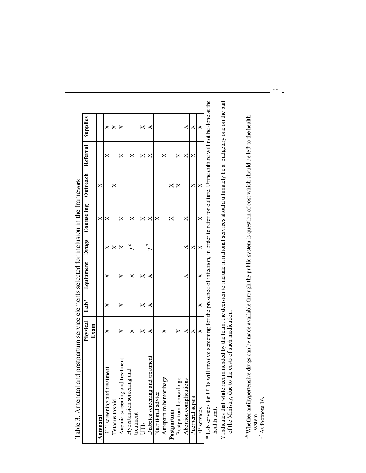| which the transmit the transmit to the second second the second the second the second the second the second th                                |          |          |           |          |            |          |          |          |
|-----------------------------------------------------------------------------------------------------------------------------------------------|----------|----------|-----------|----------|------------|----------|----------|----------|
|                                                                                                                                               | Physical | Lab*     | Equipment | Drugs    | Counseling | Outreach | Referral | Supplies |
|                                                                                                                                               | Exam     |          |           |          |            |          |          |          |
| Antenatal                                                                                                                                     |          |          |           |          | X          | ×        |          |          |
| RTI screening and treatment                                                                                                                   | $\times$ | $\times$ | ×         | $\times$ | ×          |          | ×        | ×        |
| Tetanus toxoid                                                                                                                                |          |          |           | $\times$ |            | ×        |          | X        |
| treatment<br>Anemia screening and                                                                                                             | ×        | ×        | ×         | ×        | $\times$   |          | ×        | ×        |
| Hypertension screening and                                                                                                                    | ×        |          | ×         | 6م       | ×          |          | ×        |          |
| treatment                                                                                                                                     |          |          |           |          |            |          |          |          |
| UTIS                                                                                                                                          | ×        | $\times$ | X         |          | X          |          | ×        | X        |
| Diabetes screening and treatment                                                                                                              | ×        | ×        | ×         | Ę,       | X          |          | ×        | ×        |
| Nutritional advice                                                                                                                            |          |          |           |          | ×          |          |          |          |
| ge<br>Antepartum hemorrha                                                                                                                     | ×        |          |           |          |            |          | ×        |          |
| Postpartum                                                                                                                                    |          |          |           |          | ×          | X        |          |          |
| Postpartum hemorrhage                                                                                                                         | $\times$ |          |           |          |            | ×        | X        |          |
| Abortion complications                                                                                                                        | X        |          | ×         | ×        | ×          |          | ×        | ×        |
| Puerperal sepsis                                                                                                                              | X        |          |           | ×        |            | ×        | ×        | ×        |
| FP services                                                                                                                                   | X        | $\times$ | $\times$  | $\times$ | ×          | X        |          | X        |
| * Lab services for UTIs will involve screening for the presence of infection, in order to refer for culture. Urine culture will not be done a |          |          |           |          |            |          |          |          |

Table 3. Antenatal and postpartum service elements selected for inclusion in the framework Table 3. Antenatal and postpartum service elements selected for inclusion in the framework

at the \* Lab services for UTIs will involve screening for the presence of infection, in order to refer for culture. Urine culture will not be done at the Ó health unit. health unit.

? Indicates that while recommended by the team, the decision to include in national services should ultimately be a budgetary one on the part of the Ministry, due to the costs of such medication. ? Indicates that while recommended by the team, the decision to include in national services should ultimately be a budgetary one on the part of the Ministry, due to the costs of such medication.

 $^{17}$  As footnote 16.

<sup>&</sup>lt;sup>16</sup> Whether antihypertensive drugs can be made available through the public system is question of cost which should be left to the health <sup>16</sup> Whether antihypertensive drugs can be made available through the public system is question of cost which should be left to the health system.<br>
<sup>17</sup> As footnote 16.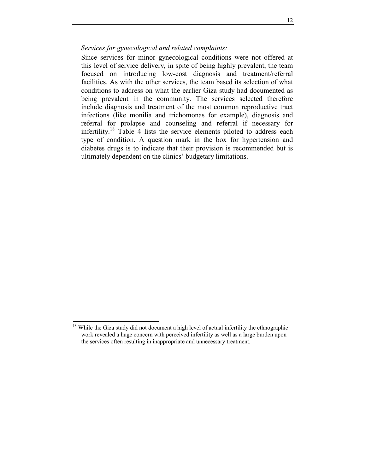*Services for gynecological and related complaints:* 

Since services for minor gynecological conditions were not offered at this level of service delivery, in spite of being highly prevalent, the team focused on introducing low-cost diagnosis and treatment/referral facilities. As with the other services, the team based its selection of what conditions to address on what the earlier Giza study had documented as being prevalent in the community. The services selected therefore include diagnosis and treatment of the most common reproductive tract infections (like monilia and trichomonas for example), diagnosis and referral for prolapse and counseling and referral if necessary for infertility.<sup>18</sup> Table 4 lists the service elements piloted to address each type of condition. A question mark in the box for hypertension and diabetes drugs is to indicate that their provision is recommended but is ultimately dependent on the clinics' budgetary limitations.

l

 $18$  While the Giza study did not document a high level of actual infertility the ethnographic work revealed a huge concern with perceived infertility as well as a large burden upon the services often resulting in inappropriate and unnecessary treatment.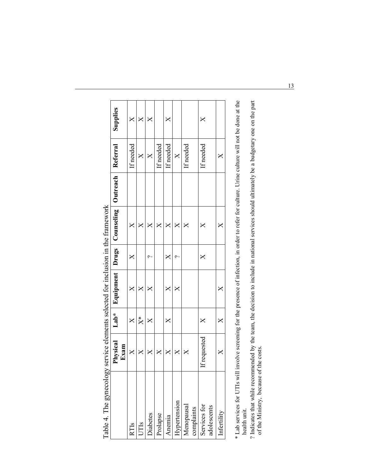| ć                           | Physical<br>)<br>J | $Lab*$                 | Equipment |         | Drugs   Counseling | Outreach | Referra           | Supplies      |
|-----------------------------|--------------------|------------------------|-----------|---------|--------------------|----------|-------------------|---------------|
|                             | Exam               |                        |           |         |                    |          |                   |               |
| RTIs                        | X                  |                        |           | $\Join$ |                    |          | If needed         | ×             |
| UTIS                        | ×                  | $\stackrel{*}{\times}$ | ×         |         | ×                  |          | ×                 | $\bm{\times}$ |
| Diabetes                    | X                  | ×                      | ×         | ᡕ       | ×                  |          | X                 | ×             |
| Prolapse                    | ×                  |                        |           |         | ×                  |          | If needed         |               |
| Anemia                      | ×                  | ×                      |           | ╳       | ╳                  |          | If needed         | $\times$      |
| Hypertension                | X                  |                        |           |         | ×                  |          | $\bm{\mathsf{X}}$ |               |
| Menopausal<br>complaints    | ×                  |                        |           |         | ×                  |          | If needed         |               |
| Services for<br>adolescents | requested          |                        |           | ×       |                    |          | f needed          | $\Join$       |
| Infertility                 | ×                  | ×                      | ×         |         | ×                  |          | ×                 |               |
|                             |                    |                        |           |         |                    |          |                   |               |

Table 4. The gynecology service elements selected for inclusion in the framework Table 4. The gynecology service elements selected for inclusion in the framework

\* Lab services for UTIs will involve screening for the presence of infection, in order to refer for culture. Urine culture will not be done at the health unit. \* Lab services for UTIs will involve screening for the presence of infection, in order to refer for culture. Urine culture will not be done at the health unit.

? Indicates that while recommended by the team, the decision to include in national services should ultimately be a budgetary one on the part of the Ministry, because of the costs. ? Indicates that while recommended by the team, the decision to include in national services should ultimately be a budgetary one on the part of the Ministry, because of the costs. 13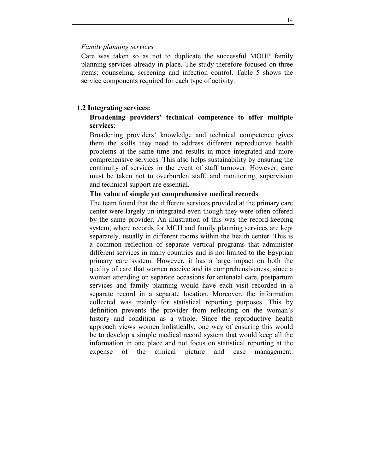#### *Family planning services*

Care was taken so as not to duplicate the successful MOHP family planning services already in place. The study therefore focused on three items; counseling, screening and infection control. Table 5 shows the service components required for each type of activity.

## **1.2 Integrating services:**

## Broadening providers' technical competence to offer multiple **services**:

Broadening providers' knowledge and technical competence gives them the skills they need to address different reproductive health problems at the same time and results in more integrated and more comprehensive services. This also helps sustainability by ensuring the continuity of services in the event of staff turnover. However, care must be taken not to overburden staff, and monitoring, supervision and technical support are essential.

#### **The value of simple yet comprehensive medical records**

The team found that the different services provided at the primary care center were largely un-integrated even though they were often offered by the same provider. An illustration of this was the record-keeping system, where records for MCH and family planning services are kept separately, usually in different rooms within the health center. This is a common reflection of separate vertical programs that administer different services in many countries and is not limited to the Egyptian primary care system. However, it has a large impact on both the quality of care that women receive and its comprehensiveness, since a woman attending on separate occasions for antenatal care, postpartum services and family planning would have each visit recorded in a separate record in a separate location. Moreover, the information collected was mainly for statistical reporting purposes. This by definition prevents the provider from reflecting on the woman's history and condition as a whole. Since the reproductive health approach views women holistically, one way of ensuring this would be to develop a simple medical record system that would keep all the information in one place and not focus on statistical reporting at the expense of the clinical picture and case management.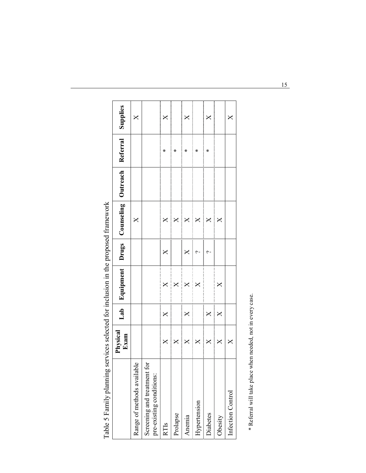|                                                         | Physical<br>Exam   | Lab <sub>1</sub>       | Equipment Drugs         |   | Counseling Outreach     | Referral | Supplies      |
|---------------------------------------------------------|--------------------|------------------------|-------------------------|---|-------------------------|----------|---------------|
| Range of methods available                              |                    |                        |                         |   | ×                       |          | $\bm{\times}$ |
| Screening and treatment for<br>pre-existing conditions: |                    |                        |                         |   |                         |          |               |
| RTIS                                                    | $\bm{\times}$      | $\bm{\times}$          | $\bm{\mathsf{X}}$       | × | $\bm{\mathsf{X}}$       | ₩        | ×             |
| Prolapse                                                | ×                  |                        | $\overline{\mathsf{X}}$ |   | $\bm{\times}$           | ⋇        |               |
| Anemia                                                  | $\bm{\times}$      | $\times$               | $\times$                | × | $\mathsf{X}$            | ⋇        | ×             |
| Hypertension                                            | $\bm{\mathsf{X}}$  |                        | $\mathsf{X}$            | ب | $\overline{\mathsf{X}}$ | ⋇        |               |
| Diabetes                                                | $\mathsf{X}$       | $\mathsf{X}$           |                         | c | $\overline{\mathsf{X}}$ | ⋇        | ×             |
| Obesity                                                 | ▒<br>$\bm{\times}$ | ▌<br>$\bm{\mathsf{X}}$ | ×                       |   | <br>$\bm{\times}$       |          |               |
| Infection Control                                       | $\mathsf{X}$       |                        |                         |   |                         |          | ×             |

Table 5 Family planning services selected for inclusion in the proposed framework Table 5 Family planning services selected for inclusion in the proposed framework

\* Referral will take place when needed, not in every case. \* Referral will take place when needed, not in every case.

 $15$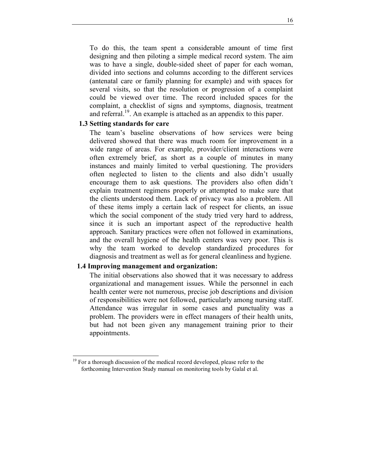To do this, the team spent a considerable amount of time first designing and then piloting a simple medical record system. The aim was to have a single, double-sided sheet of paper for each woman, divided into sections and columns according to the different services (antenatal care or family planning for example) and with spaces for several visits, so that the resolution or progression of a complaint could be viewed over time. The record included spaces for the complaint, a checklist of signs and symptoms, diagnosis, treatment and referral.<sup>19</sup>. An example is attached as an appendix to this paper.

## **1.3 Setting standards for care**

The team's baseline observations of how services were being delivered showed that there was much room for improvement in a wide range of areas. For example, provider/client interactions were often extremely brief, as short as a couple of minutes in many instances and mainly limited to verbal questioning. The providers often neglected to listen to the clients and also didn't usually encourage them to ask questions. The providers also often didn't explain treatment regimens properly or attempted to make sure that the clients understood them. Lack of privacy was also a problem. All of these items imply a certain lack of respect for clients, an issue which the social component of the study tried very hard to address, since it is such an important aspect of the reproductive health approach. Sanitary practices were often not followed in examinations, and the overall hygiene of the health centers was very poor. This is why the team worked to develop standardized procedures for diagnosis and treatment as well as for general cleanliness and hygiene.

## **1.4 Improving management and organization:**

l

The initial observations also showed that it was necessary to address organizational and management issues. While the personnel in each health center were not numerous, precise job descriptions and division of responsibilities were not followed, particularly among nursing staff. Attendance was irregular in some cases and punctuality was a problem. The providers were in effect managers of their health units, but had not been given any management training prior to their appointments.

 $19$  For a thorough discussion of the medical record developed, please refer to the forthcoming Intervention Study manual on monitoring tools by Galal et al.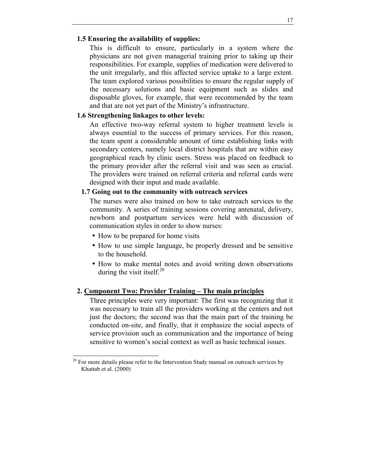## **1.5 Ensuring the availability of supplies:**

This is difficult to ensure, particularly in a system where the physicians are not given managerial training prior to taking up their responsibilities. For example, supplies of medication were delivered to the unit irregularly, and this affected service uptake to a large extent. The team explored various possibilities to ensure the regular supply of the necessary solutions and basic equipment such as slides and disposable gloves, for example, that were recommended by the team and that are not yet part of the Ministry's infrastructure.

## **1.6 Strengthening linkages to other levels:**

An effective two-way referral system to higher treatment levels is always essential to the success of primary services. For this reason, the team spent a considerable amount of time establishing links with secondary centers, namely local district hospitals that are within easy geographical reach by clinic users. Stress was placed on feedback to the primary provider after the referral visit and was seen as crucial. The providers were trained on referral criteria and referral cards were designed with their input and made available.

#### **1.7 Going out to the community with outreach services**

The nurses were also trained on how to take outreach services to the community. A series of training sessions covering antenatal, delivery, newborn and postpartum services were held with discussion of communication styles in order to show nurses:

• How to be prepared for home visits

l

- How to use simple language, be properly dressed and be sensitive to the household.
- How to make mental notes and avoid writing down observations during the visit itself.<sup>20</sup>

## **2. Component Two: Provider Training – The main principles**

Three principles were very important: The first was recognizing that it was necessary to train all the providers working at the centers and not just the doctors; the second was that the main part of the training be conducted on-site, and finally, that it emphasize the social aspects of service provision such as communication and the importance of being sensitive to women's social context as well as basic technical issues.

 $20$  For more details please refer to the Intervention Study manual on outreach services by Khattab et al. (2000)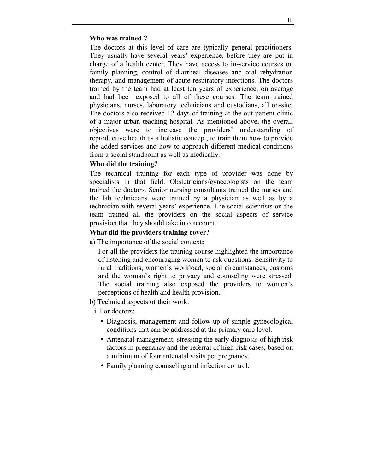#### **Who was trained ?**

The doctors at this level of care are typically general practitioners. They usually have several years' experience, before they are put in charge of a health center. They have access to in-service courses on family planning, control of diarrheal diseases and oral rehydration therapy, and management of acute respiratory infections. The doctors trained by the team had at least ten years of experience, on average and had been exposed to all of these courses. The team trained physicians, nurses, laboratory technicians and custodians, all on-site. The doctors also received 12 days of training at the out-patient clinic of a major urban teaching hospital. As mentioned above, the overall objectives were to increase the providers' understanding of reproductive health as a holistic concept, to train them how to provide the added services and how to approach different medical conditions from a social standpoint as well as medically.

## **Who did the training?**

The technical training for each type of provider was done by specialists in that field. Obstetricians/gynecologists on the team trained the doctors. Senior nursing consultants trained the nurses and the lab technicians were trained by a physician as well as by a technician with several years' experience. The social scientists on the team trained all the providers on the social aspects of service provision that they should take into account.

## **What did the providers training cover?**

a) The importance of the social context**:**

For all the providers the training course highlighted the importance of listening and encouraging women to ask questions. Sensitivity to rural traditions, women's workload, social circumstances, customs and the woman's right to privacy and counseling were stressed. The social training also exposed the providers to women's perceptions of health and health provision.

b) Technical aspects of their work:

i. For doctors:

- Diagnosis, management and follow-up of simple gynecological conditions that can be addressed at the primary care level.
- Antenatal management; stressing the early diagnosis of high risk factors in pregnancy and the referral of high-risk cases, based on a minimum of four antenatal visits per pregnancy.
- Family planning counseling and infection control.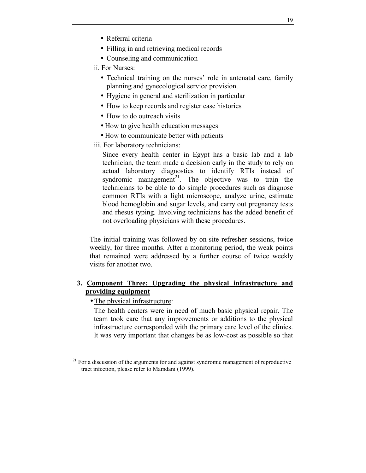- Referral criteria
- Filling in and retrieving medical records
- Counseling and communication
- ii. For Nurses:
	- Technical training on the nurses' role in antenatal care, family planning and gynecological service provision.
	- Hygiene in general and sterilization in particular
	- How to keep records and register case histories
	- How to do outreach visits
	- How to give health education messages
	- How to communicate better with patients
- iii. For laboratory technicians:

Since every health center in Egypt has a basic lab and a lab technician, the team made a decision early in the study to rely on actual laboratory diagnostics to identify RTIs instead of syndromic management<sup>21</sup>. The objective was to train the technicians to be able to do simple procedures such as diagnose common RTIs with a light microscope, analyze urine, estimate blood hemoglobin and sugar levels, and carry out pregnancy tests and rhesus typing. Involving technicians has the added benefit of not overloading physicians with these procedures.

The initial training was followed by on-site refresher sessions, twice weekly, for three months. After a monitoring period, the weak points that remained were addressed by a further course of twice weekly visits for another two.

## **3. Component Three: Upgrading the physical infrastructure and providing equipment**

• The physical infrastructure:

l

The health centers were in need of much basic physical repair. The team took care that any improvements or additions to the physical infrastructure corresponded with the primary care level of the clinics. It was very important that changes be as low-cost as possible so that

 $21$  For a discussion of the arguments for and against syndromic management of reproductive tract infection, please refer to Mamdani (1999).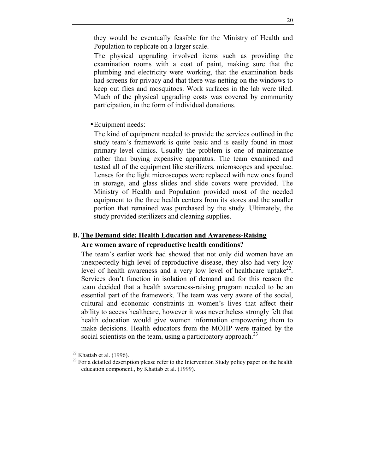they would be eventually feasible for the Ministry of Health and Population to replicate on a larger scale.

The physical upgrading involved items such as providing the examination rooms with a coat of paint, making sure that the plumbing and electricity were working, that the examination beds had screens for privacy and that there was netting on the windows to keep out flies and mosquitoes. Work surfaces in the lab were tiled. Much of the physical upgrading costs was covered by community participation, in the form of individual donations.

• Equipment needs:

The kind of equipment needed to provide the services outlined in the study team's framework is quite basic and is easily found in most primary level clinics. Usually the problem is one of maintenance rather than buying expensive apparatus. The team examined and tested all of the equipment like sterilizers, microscopes and speculae. Lenses for the light microscopes were replaced with new ones found in storage, and glass slides and slide covers were provided. The Ministry of Health and Population provided most of the needed equipment to the three health centers from its stores and the smaller portion that remained was purchased by the study. Ultimately, the study provided sterilizers and cleaning supplies.

## **B. The Demand side: Health Education and Awareness-Raising**

#### **Are women aware of reproductive health conditions?**

The team's earlier work had showed that not only did women have an unexpectedly high level of reproductive disease, they also had very low level of health awareness and a very low level of healthcare uptake<sup>22</sup>. Services don't function in isolation of demand and for this reason the team decided that a health awareness-raising program needed to be an essential part of the framework. The team was very aware of the social, cultural and economic constraints in womenís lives that affect their ability to access healthcare, however it was nevertheless strongly felt that health education would give women information empowering them to make decisions. Health educators from the MOHP were trained by the social scientists on the team, using a participatory approach.<sup>23</sup>

l

 $22$  Khattab et al. (1996).

<sup>&</sup>lt;sup>23</sup> For a detailed description please refer to the Intervention Study policy paper on the health education component., by Khattab et al. (1999).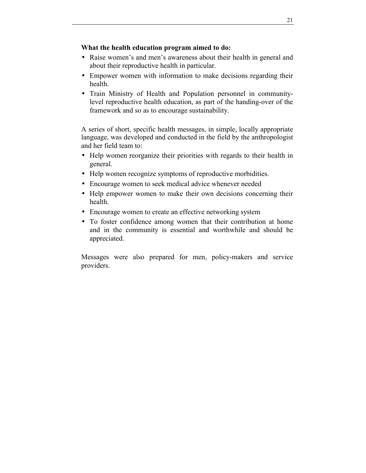## **What the health education program aimed to do:**

- Raise women's and men's awareness about their health in general and about their reproductive health in particular.
- Empower women with information to make decisions regarding their health.
- Train Ministry of Health and Population personnel in communitylevel reproductive health education, as part of the handing-over of the framework and so as to encourage sustainability.

A series of short, specific health messages, in simple, locally appropriate language, was developed and conducted in the field by the anthropologist and her field team to:

- Help women reorganize their priorities with regards to their health in general.
- Help women recognize symptoms of reproductive morbidities.
- Encourage women to seek medical advice whenever needed
- Help empower women to make their own decisions concerning their health.
- Encourage women to create an effective networking system
- To foster confidence among women that their contribution at home and in the community is essential and worthwhile and should be appreciated.

Messages were also prepared for men, policy-makers and service providers.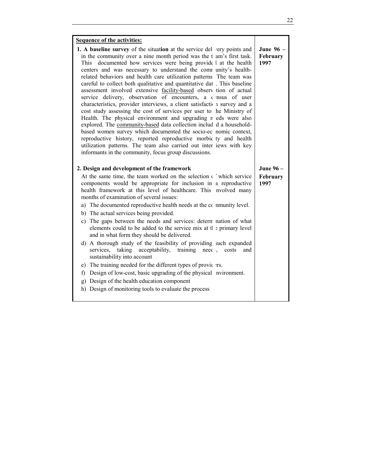| <b>Sequence of the activities:</b>                                                                                                                                                                                                                                                                                                                                                                                                                                                                                                                                                                                                                                                                                                                                                                                                                                                                                                                                                                                                                                                                                                                      |                               |
|---------------------------------------------------------------------------------------------------------------------------------------------------------------------------------------------------------------------------------------------------------------------------------------------------------------------------------------------------------------------------------------------------------------------------------------------------------------------------------------------------------------------------------------------------------------------------------------------------------------------------------------------------------------------------------------------------------------------------------------------------------------------------------------------------------------------------------------------------------------------------------------------------------------------------------------------------------------------------------------------------------------------------------------------------------------------------------------------------------------------------------------------------------|-------------------------------|
| 1. A baseline survey of the situation at the service del very points and<br>in the community over a nine month period was the t am's first task.<br>documented how services were being provide I at the health<br>This<br>centers and was necessary to understand the comr unity's health-<br>related behaviors and health care utilization patterns The team was<br>careful to collect both qualitative and quantitative dat. This baseline<br>assessment involved extensive facility-based observ tion of actual<br>service delivery, observation of encounters, a census of user<br>characteristics, provider interviews, a client satisfaction survey and a<br>cost study assessing the cost of services per user to he Ministry of<br>Health. The physical environment and upgrading n eds were also<br>explored. The community-based data collection includ d a household-<br>based women survey which documented the socio-ec nomic context,<br>reproductive history, reported reproductive morbic ty and health<br>utilization patterns. The team also carried out inter iews with key<br>informants in the community, focus group discussions. | June 96 –<br>February<br>1997 |
| 2. Design and development of the framework                                                                                                                                                                                                                                                                                                                                                                                                                                                                                                                                                                                                                                                                                                                                                                                                                                                                                                                                                                                                                                                                                                              | <b>June 96 –</b>              |
| At the same time, the team worked on the selection ( ) which service<br>components would be appropriate for inclusion in a reproductive<br>health framework at this level of healthcare. This nyolved many<br>months of examination of several issues:<br>a) The documented reproductive health needs at the community level.<br>b) The actual services being provided.<br>c) The gaps between the needs and services: determ nation of what<br>elements could to be added to the service mix at the primary level<br>and in what form they should be delivered.<br>d) A thorough study of the feasibility of providing such expanded<br>services, taking acceptability, training need<br>costs<br>and<br>sustainability into account<br>e) The training needed for the different types of provices.<br>f) Design of low-cost, basic upgrading of the physical nvironment.<br>g) Design of the health education component<br>Design of monitoring tools to evaluate the process<br>h)                                                                                                                                                                   | February<br>1997              |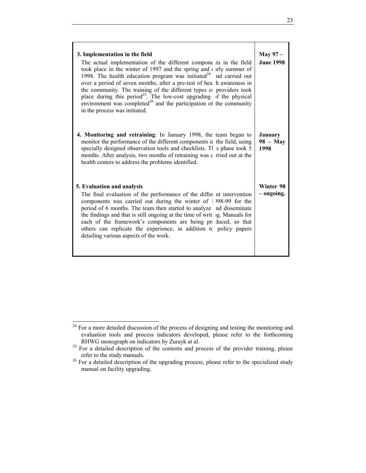| 3. Implementation in the field<br>The actual implementation of the different compone its in the field<br>took place in the winter of 1997 and the spring and $\epsilon$ urly summer of<br>1998. The health education program was initiated <sup>24</sup> nd carried out<br>over a period of seven months, after a pre-test of hea h awareness in<br>the community. The training of the different types of providers took<br>place during this period <sup>25</sup> . The low-cost upgrading of the physical<br>environment was completed <sup>26</sup> and the participation of the community<br>in the process was initiated. | <b>May 97 –</b><br><b>June 1998</b>  |
|--------------------------------------------------------------------------------------------------------------------------------------------------------------------------------------------------------------------------------------------------------------------------------------------------------------------------------------------------------------------------------------------------------------------------------------------------------------------------------------------------------------------------------------------------------------------------------------------------------------------------------|--------------------------------------|
| 4. Monitoring and retraining: In January 1998, the team began to<br>monitor the performance of the different components ii the field, using<br>specially designed observation tools and checklists. Tl is phase took 5<br>months. After analysis, two months of retraining was c rried out at the<br>health centers to address the problems identified.                                                                                                                                                                                                                                                                        | <b>January</b><br>$98 - May$<br>1998 |
| 5. Evaluation and analysis<br>The final evaluation of the performance of the differ nt intervention<br>components was carried out during the winter of 1998-99 for the<br>period of 6 months. The team then started to analyze nd disseminate<br>the findings and that is still ongoing at the time of writ ig. Manuals for<br>each of the framework's components are being produced, so that<br>others can replicate the experience, in addition to policy papers<br>detailing various aspects of the work.                                                                                                                   | Winter 98<br>– ongoing.              |

l  $24$  For a more detailed discussion of the process of designing and testing the monitoring and evaluation tools and process indicators developed, please refer to the forthcoming

 $\frac{25}{25}$  For a detailed description of the contents and process of the provider training, please refer to the study manuals.

<sup>&</sup>lt;sup>26</sup> For a detailed description of the upgrading process, please refer to the specialized study manual on facility upgrading.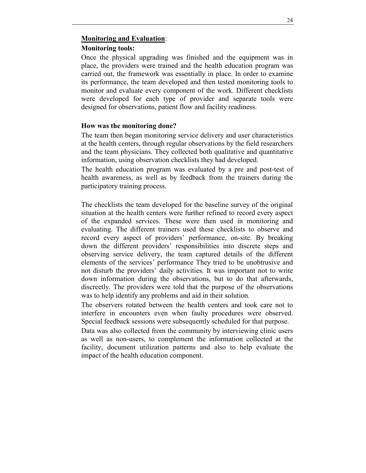#### **Monitoring and Evaluation**:

#### **Monitoring tools:**

Once the physical upgrading was finished and the equipment was in place, the providers were trained and the health education program was carried out, the framework was essentially in place. In order to examine its performance, the team developed and then tested monitoring tools to monitor and evaluate every component of the work. Different checklists were developed for each type of provider and separate tools were designed for observations, patient flow and facility readiness.

#### **How was the monitoring done?**

The team then began monitoring service delivery and user characteristics at the health centers, through regular observations by the field researchers and the team physicians. They collected both qualitative and quantitative information, using observation checklists they had developed.

The health education program was evaluated by a pre and post-test of health awareness, as well as by feedback from the trainers during the participatory training process.

The checklists the team developed for the baseline survey of the original situation at the health centers were further refined to record every aspect of the expanded services. These were then used in monitoring and evaluating. The different trainers used these checklists to observe and record every aspect of providers' performance, on-site. By breaking down the different providers' responsibilities into discrete steps and observing service delivery, the team captured details of the different elements of the services' performance They tried to be unobtrusive and not disturb the providers' daily activities. It was important not to write down information during the observations, but to do that afterwards, discreetly. The providers were told that the purpose of the observations was to help identify any problems and aid in their solution.

The observers rotated between the health centers and took care not to interfere in encounters even when faulty procedures were observed. Special feedback sessions were subsequently scheduled for that purpose.

Data was also collected from the community by interviewing clinic users as well as non-users, to complement the information collected at the facility, document utilization patterns and also to help evaluate the impact of the health education component.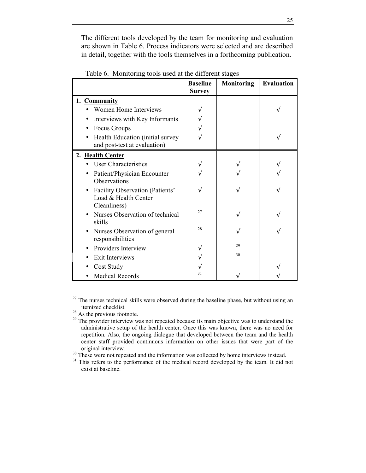The different tools developed by the team for monitoring and evaluation are shown in Table 6. Process indicators were selected and are described in detail, together with the tools themselves in a forthcoming publication.

|                                                                         | <b>Baseline</b><br><b>Survey</b> | <b>Monitoring</b> | <b>Evaluation</b> |
|-------------------------------------------------------------------------|----------------------------------|-------------------|-------------------|
| 1. Community                                                            |                                  |                   |                   |
| Women Home Interviews                                                   |                                  |                   |                   |
| Interviews with Key Informants                                          |                                  |                   |                   |
| Focus Groups                                                            |                                  |                   |                   |
| Health Education (initial survey<br>and post-test at evaluation)        |                                  |                   |                   |
| 2. Health Center                                                        |                                  |                   |                   |
| <b>User Characteristics</b>                                             |                                  |                   |                   |
| Patient/Physician Encounter<br>Observations                             |                                  |                   |                   |
| Facility Observation (Patients'<br>Load & Health Center<br>Cleanliness) |                                  |                   |                   |
| Nurses Observation of technical<br>skills                               | 27                               |                   |                   |
| Nurses Observation of general<br>responsibilities                       | 28                               |                   |                   |
| Providers Interview                                                     |                                  | 29                |                   |
| <b>Exit Interviews</b>                                                  |                                  | 30                |                   |
| Cost Study                                                              |                                  |                   |                   |
| <b>Medical Records</b>                                                  | 31                               |                   |                   |

Table 6. Monitoring tools used at the different stages

l

 $27$  The nurses technical skills were observed during the baseline phase, but without using an itemized checklist. 28 As the previous footnote.

<sup>&</sup>lt;sup>29</sup> The provider interview was not repeated because its main objective was to understand the administrative setup of the health center. Once this was known, there was no need for repetition. Also, the ongoing dialogue that developed between the team and the health center staff provided continuous information on other issues that were part of the original interview.<br><sup>30</sup> These were not repeated and the information was collected by home interviews instead.

<sup>&</sup>lt;sup>31</sup> This refers to the performance of the medical record developed by the team. It did not exist at baseline.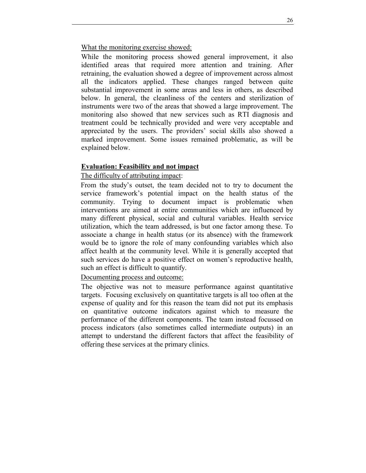What the monitoring exercise showed:

While the monitoring process showed general improvement, it also identified areas that required more attention and training. After retraining, the evaluation showed a degree of improvement across almost all the indicators applied. These changes ranged between quite substantial improvement in some areas and less in others, as described below. In general, the cleanliness of the centers and sterilization of instruments were two of the areas that showed a large improvement. The monitoring also showed that new services such as RTI diagnosis and treatment could be technically provided and were very acceptable and appreciated by the users. The providers' social skills also showed a marked improvement. Some issues remained problematic, as will be explained below.

## **Evaluation: Feasibility and not impact**

## The difficulty of attributing impact:

From the study's outset, the team decided not to try to document the service framework's potential impact on the health status of the community. Trying to document impact is problematic when interventions are aimed at entire communities which are influenced by many different physical, social and cultural variables. Health service utilization, which the team addressed, is but one factor among these. To associate a change in health status (or its absence) with the framework would be to ignore the role of many confounding variables which also affect health at the community level. While it is generally accepted that such services do have a positive effect on women's reproductive health, such an effect is difficult to quantify.

## Documenting process and outcome:

The objective was not to measure performance against quantitative targets. Focusing exclusively on quantitative targets is all too often at the expense of quality and for this reason the team did not put its emphasis on quantitative outcome indicators against which to measure the performance of the different components. The team instead focussed on process indicators (also sometimes called intermediate outputs) in an attempt to understand the different factors that affect the feasibility of offering these services at the primary clinics.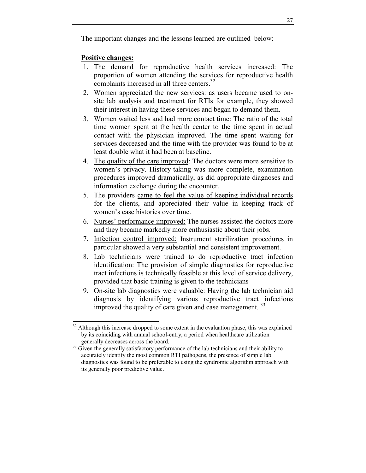The important changes and the lessons learned are outlined below:

# **Positive changes:**

- 1. The demand for reproductive health services increased: The proportion of women attending the services for reproductive health complaints increased in all three centers.<sup>32</sup>
- 2. Women appreciated the new services: as users became used to onsite lab analysis and treatment for RTIs for example, they showed their interest in having these services and began to demand them.
- 3. Women waited less and had more contact time: The ratio of the total time women spent at the health center to the time spent in actual contact with the physician improved. The time spent waiting for services decreased and the time with the provider was found to be at least double what it had been at baseline.
- 4. The quality of the care improved: The doctors were more sensitive to women's privacy. History-taking was more complete, examination procedures improved dramatically, as did appropriate diagnoses and information exchange during the encounter.
- 5. The providers came to feel the value of keeping individual records for the clients, and appreciated their value in keeping track of women's case histories over time.
- 6. Nurses' performance improved: The nurses assisted the doctors more and they became markedly more enthusiastic about their jobs.
- 7. Infection control improved: Instrument sterilization procedures in particular showed a very substantial and consistent improvement.
- 8. Lab technicians were trained to do reproductive tract infection identification: The provision of simple diagnostics for reproductive tract infections is technically feasible at this level of service delivery, provided that basic training is given to the technicians
- 9. On-site lab diagnostics were valuable: Having the lab technician aid diagnosis by identifying various reproductive tract infections improved the quality of care given and case management.<sup>33</sup>

l  $32$  Although this increase dropped to some extent in the evaluation phase, this was explained by its coinciding with annual school-entry, a period when healthcare utilization

generally decreases across the board.<br><sup>33</sup> Given the generally satisfactory performance of the lab technicians and their ability to accurately identify the most common RTI pathogens, the presence of simple lab diagnostics was found to be preferable to using the syndromic algorithm approach with its generally poor predictive value.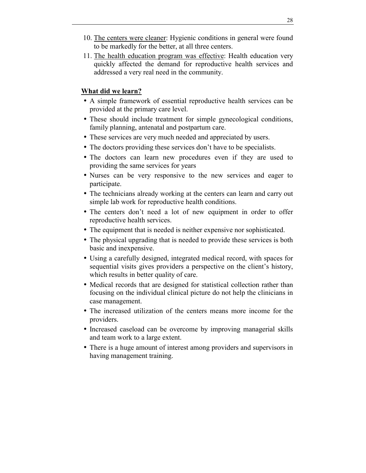- 10. The centers were cleaner: Hygienic conditions in general were found to be markedly for the better, at all three centers.
- 11. The health education program was effective: Health education very quickly affected the demand for reproductive health services and addressed a very real need in the community.

## **What did we learn?**

- A simple framework of essential reproductive health services can be provided at the primary care level.
- These should include treatment for simple gynecological conditions, family planning, antenatal and postpartum care.
- These services are very much needed and appreciated by users.
- The doctors providing these services don't have to be specialists.
- The doctors can learn new procedures even if they are used to providing the same services for years
- Nurses can be very responsive to the new services and eager to participate.
- The technicians already working at the centers can learn and carry out simple lab work for reproductive health conditions.
- The centers don't need a lot of new equipment in order to offer reproductive health services.
- The equipment that is needed is neither expensive nor sophisticated.
- The physical upgrading that is needed to provide these services is both basic and inexpensive.
- Using a carefully designed, integrated medical record, with spaces for sequential visits gives providers a perspective on the client's history, which results in better quality of care.
- Medical records that are designed for statistical collection rather than focusing on the individual clinical picture do not help the clinicians in case management.
- The increased utilization of the centers means more income for the providers.
- Increased caseload can be overcome by improving managerial skills and team work to a large extent.
- There is a huge amount of interest among providers and supervisors in having management training.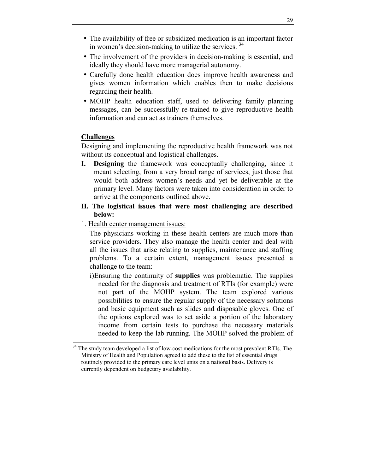- The availability of free or subsidized medication is an important factor in women's decision-making to utilize the services.  $34$
- The involvement of the providers in decision-making is essential, and ideally they should have more managerial autonomy.
- Carefully done health education does improve health awareness and gives women information which enables then to make decisions regarding their health.
- MOHP health education staff, used to delivering family planning messages, can be successfully re-trained to give reproductive health information and can act as trainers themselves.

## **Challenges**

l

Designing and implementing the reproductive health framework was not without its conceptual and logistical challenges.

- **I. Designing** the framework was conceptually challenging, since it meant selecting, from a very broad range of services, just those that would both address women's needs and yet be deliverable at the primary level. Many factors were taken into consideration in order to arrive at the components outlined above.
- **II. The logistical issues that were most challenging are described below:**
- 1. Health center management issues:

The physicians working in these health centers are much more than service providers. They also manage the health center and deal with all the issues that arise relating to supplies, maintenance and staffing problems. To a certain extent, management issues presented a challenge to the team:

i) Ensuring the continuity of **supplies** was problematic. The supplies needed for the diagnosis and treatment of RTIs (for example) were not part of the MOHP system. The team explored various possibilities to ensure the regular supply of the necessary solutions and basic equipment such as slides and disposable gloves. One of the options explored was to set aside a portion of the laboratory income from certain tests to purchase the necessary materials needed to keep the lab running. The MOHP solved the problem of

 $34$  The study team developed a list of low-cost medications for the most prevalent RTIs. The Ministry of Health and Population agreed to add these to the list of essential drugs routinely provided to the primary care level units on a national basis. Delivery is currently dependent on budgetary availability.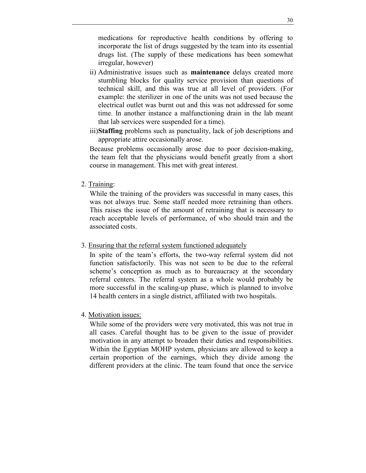medications for reproductive health conditions by offering to incorporate the list of drugs suggested by the team into its essential drugs list. (The supply of these medications has been somewhat irregular, however)

- ii) Administrative issues such as **maintenance** delays created more stumbling blocks for quality service provision than questions of technical skill, and this was true at all level of providers*.* (For example: the sterilizer in one of the units was not used because the electrical outlet was burnt out and this was not addressed for some time. In another instance a malfunctioning drain in the lab meant that lab services were suspended for a time).
- iii) **Staffing** problems such as punctuality, lack of job descriptions and appropriate attire occasionally arose.

Because problems occasionally arose due to poor decision-making, the team felt that the physicians would benefit greatly from a short course in management. This met with great interest.

2. Training:

While the training of the providers was successful in many cases, this was not always true. Some staff needed more retraining than others. This raises the issue of the amount of retraining that is necessary to reach acceptable levels of performance, of who should train and the associated costs.

3. Ensuring that the referral system functioned adequately

In spite of the team's efforts, the two-way referral system did not function satisfactorily. This was not seen to be due to the referral scheme's conception as much as to bureaucracy at the secondary referral centers. The referral system as a whole would probably be more successful in the scaling-up phase, which is planned to involve 14 health centers in a single district, affiliated with two hospitals.

## 4. Motivation issues:

While some of the providers were very motivated, this was not true in all cases. Careful thought has to be given to the issue of provider motivation in any attempt to broaden their duties and responsibilities. Within the Egyptian MOHP system, physicians are allowed to keep a certain proportion of the earnings, which they divide among the different providers at the clinic. The team found that once the service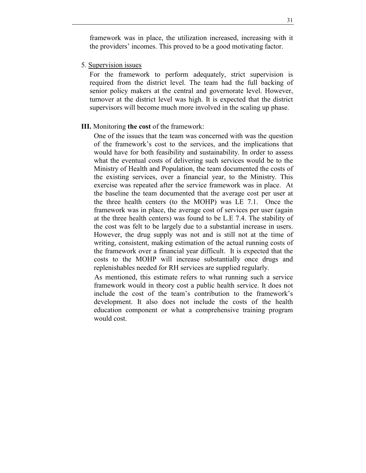framework was in place, the utilization increased, increasing with it the providers' incomes. This proved to be a good motivating factor.

5. Supervision issues

For the framework to perform adequately, strict supervision is required from the district level. The team had the full backing of senior policy makers at the central and governorate level. However, turnover at the district level was high. It is expected that the district supervisors will become much more involved in the scaling up phase.

#### **III.** Monitoring **the cost** of the framework:

One of the issues that the team was concerned with was the question of the framework's cost to the services, and the implications that would have for both feasibility and sustainability. In order to assess what the eventual costs of delivering such services would be to the Ministry of Health and Population, the team documented the costs of the existing services, over a financial year, to the Ministry. This exercise was repeated after the service framework was in place. At the baseline the team documented that the average cost per user at the three health centers (to the MOHP) was LE 7.1. Once the framework was in place, the average cost of services per user (again at the three health centers) was found to be L.E 7.4. The stability of the cost was felt to be largely due to a substantial increase in users. However, the drug supply was not and is still not at the time of writing, consistent, making estimation of the actual running costs of the framework over a financial year difficult. It is expected that the costs to the MOHP will increase substantially once drugs and replenishables needed for RH services are supplied regularly.

As mentioned, this estimate refers to what running such a service framework would in theory cost a public health service. It does not include the cost of the team's contribution to the framework's development. It also does not include the costs of the health education component or what a comprehensive training program would cost.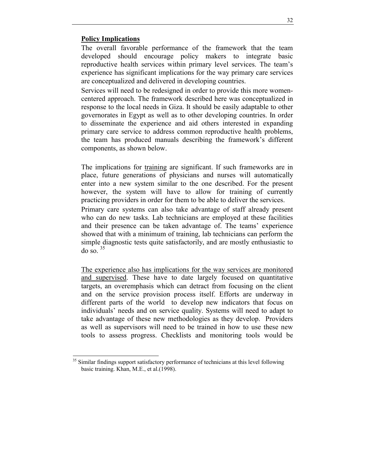## **Policy Implications**

l

The overall favorable performance of the framework that the team developed should encourage policy makers to integrate basic reproductive health services within primary level services. The team's experience has significant implications for the way primary care services are conceptualized and delivered in developing countries.

Services will need to be redesigned in order to provide this more womencentered approach. The framework described here was conceptualized in response to the local needs in Giza. It should be easily adaptable to other governorates in Egypt as well as to other developing countries. In order to disseminate the experience and aid others interested in expanding primary care service to address common reproductive health problems, the team has produced manuals describing the framework's different components, as shown below.

The implications for training are significant. If such frameworks are in place, future generations of physicians and nurses will automatically enter into a new system similar to the one described. For the present however, the system will have to allow for training of currently practicing providers in order for them to be able to deliver the services.

Primary care systems can also take advantage of staff already present who can do new tasks. Lab technicians are employed at these facilities and their presence can be taken advantage of. The teams' experience showed that with a minimum of training, lab technicians can perform the simple diagnostic tests quite satisfactorily, and are mostly enthusiastic to do so.  $35$ 

The experience also has implications for the way services are monitored and supervised. These have to date largely focused on quantitative targets, an overemphasis which can detract from focusing on the client and on the service provision process itself. Efforts are underway in different parts of the world to develop new indicators that focus on individuals' needs and on service quality. Systems will need to adapt to take advantage of these new methodologies as they develop. Providers as well as supervisors will need to be trained in how to use these new tools to assess progress. Checklists and monitoring tools would be

<sup>&</sup>lt;sup>35</sup> Similar findings support satisfactory performance of technicians at this level following basic training. Khan, M.E., et al.(1998).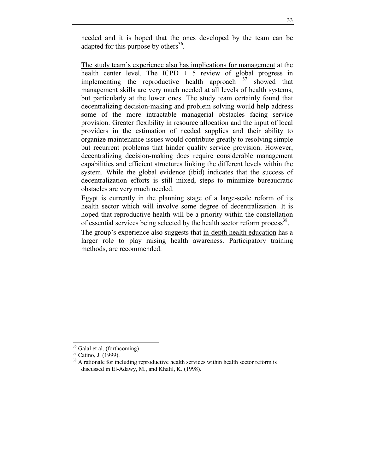needed and it is hoped that the ones developed by the team can be adapted for this purpose by others<sup>36</sup>.

The study team's experience also has implications for management at the health center level. The ICPD  $+ 5$  review of global progress in implementing the reproductive health approach  $37$  showed that management skills are very much needed at all levels of health systems, but particularly at the lower ones. The study team certainly found that decentralizing decision-making and problem solving would help address some of the more intractable managerial obstacles facing service provision. Greater flexibility in resource allocation and the input of local providers in the estimation of needed supplies and their ability to organize maintenance issues would contribute greatly to resolving simple but recurrent problems that hinder quality service provision. However, decentralizing decision-making does require considerable management capabilities and efficient structures linking the different levels within the system. While the global evidence (ibid) indicates that the success of decentralization efforts is still mixed, steps to minimize bureaucratic obstacles are very much needed.

Egypt is currently in the planning stage of a large-scale reform of its health sector which will involve some degree of decentralization. It is hoped that reproductive health will be a priority within the constellation of essential services being selected by the health sector reform process<sup>38</sup>.

The group's experience also suggests that in-depth health education has a larger role to play raising health awareness. Participatory training methods, are recommended.

l

 $36$  Galal et al. (forthcoming)

<sup>37</sup> Catino, J. (1999).

<sup>&</sup>lt;sup>38</sup> A rationale for including reproductive health services within health sector reform is discussed in El-Adawy, M., and Khalil, K. (1998).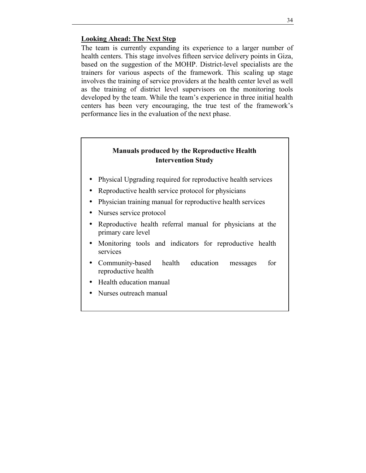## **Looking Ahead: The Next Step**

The team is currently expanding its experience to a larger number of health centers. This stage involves fifteen service delivery points in Giza, based on the suggestion of the MOHP. District-level specialists are the trainers for various aspects of the framework. This scaling up stage involves the training of service providers at the health center level as well as the training of district level supervisors on the monitoring tools developed by the team. While the team's experience in three initial health centers has been very encouraging, the true test of the framework's performance lies in the evaluation of the next phase.

## **Manuals produced by the Reproductive Health Intervention Study**

- Physical Upgrading required for reproductive health services
- Reproductive health service protocol for physicians
- Physician training manual for reproductive health services
- Nurses service protocol
- Reproductive health referral manual for physicians at the primary care level
- Monitoring tools and indicators for reproductive health services
- Community-based health education messages for reproductive health
- Health education manual
- Nurses outreach manual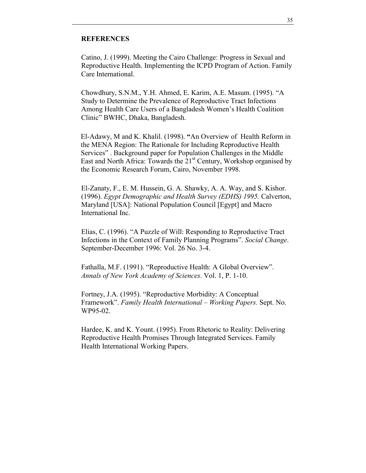## **REFERENCES**

Catino, J. (1999). Meeting the Cairo Challenge: Progress in Sexual and Reproductive Health. Implementing the ICPD Program of Action. Family Care International.

Chowdhury, S.N.M., Y.H. Ahmed, E. Karim, A.E. Masum. (1995). "A Study to Determine the Prevalence of Reproductive Tract Infections Among Health Care Users of a Bangladesh Women's Health Coalition Clinicî BWHC, Dhaka, Bangladesh.

El-Adawy, M and K. Khalil. (1998). "An Overview of Health Reform in the MENA Region: The Rationale for Including Reproductive Health Services". Background paper for Population Challenges in the Middle East and North Africa: Towards the  $21<sup>st</sup>$  Century, Workshop organised by the Economic Research Forum, Cairo, November 1998.

El-Zanaty, F., E. M. Hussein, G. A. Shawky, A. A. Way, and S. Kishor. (1996). *Egypt Demographic and Health Survey (EDHS) 1995.* Calverton, Maryland [USA]: National Population Council [Egypt] and Macro International Inc.

Elias, C. (1996). "A Puzzle of Will: Responding to Reproductive Tract Infections in the Context of Family Planning Programs". *Social Change*. September-December 1996: Vol. 26 No. 3-4.

Fathalla, M.F. (1991). "Reproductive Health: A Global Overview". *Annals of New York Academy of Sciences*. Vol. 1, P. 1-10.

Fortney, J.A. (1995). "Reproductive Morbidity: A Conceptual Framework". *Family Health International – Working Papers.* Sept. No. WP95-02.

Hardee, K. and K. Yount. (1995). From Rhetoric to Reality: Delivering Reproductive Health Promises Through Integrated Services. Family Health International Working Papers.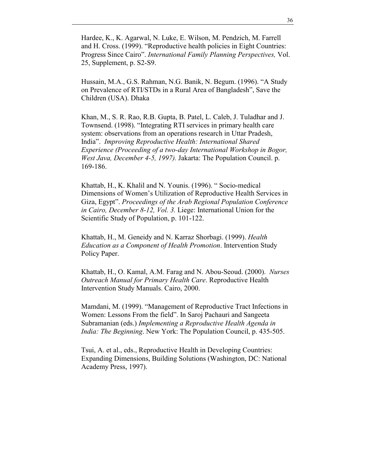Hardee, K., K. Agarwal, N. Luke, E. Wilson, M. Pendzich, M. Farrell and H. Cross. (1999). "Reproductive health policies in Eight Countries: Progress Since Cairo". *International Family Planning Perspectives, Vol.* 25, Supplement, p. S2-S9.

Hussain, M.A., G.S. Rahman, N.G. Banik, N. Begum. (1996). "A Study on Prevalence of RTI/STDs in a Rural Area of Bangladesh". Save the Children (USA). Dhaka

Khan, M., S. R. Rao, R.B. Gupta, B. Patel, L. Caleb, J. Tuladhar and J. Townsend. (1998). "Integrating RTI services in primary health care system: observations from an operations research in Uttar Pradesh, Indiaî. *Improving Reproductive Health: International Shared Experience (Proceeding of a two-day International Workshop in Bogor, West Java, December 4-5, 1997).* Jakarta: The Population Council. p. 169-186.

Khattab, H., K. Khalil and N. Younis. (1996). "Socio-medical Dimensions of Women's Utilization of Reproductive Health Services in Giza, Egypt". *Proceedings of the Arab Regional Population Conference in Cairo, December 8-12, Vol. 3.* Liege: International Union for the Scientific Study of Population, p. 101-122.

Khattab, H., M. Geneidy and N. Karraz Shorbagi. (1999). *Health Education as a Component of Health Promotion*. Intervention Study Policy Paper.

Khattab, H., O. Kamal, A.M. Farag and N. Abou-Seoud. (2000). *Nurses Outreach Manual for Primary Health Care*. Reproductive Health Intervention Study Manuals. Cairo, 2000.

Mamdani, M. (1999). "Management of Reproductive Tract Infections in Women: Lessons From the field". In Saroj Pachauri and Sangeeta Subramanian (eds.) *Implementing a Reproductive Health Agenda in India: The Beginning*. New York: The Population Council, p. 435-505.

Tsui, A. et al., eds., Reproductive Health in Developing Countries: Expanding Dimensions, Building Solutions (Washington, DC: National Academy Press, 1997).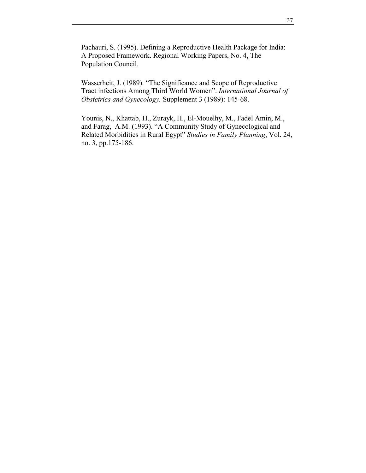Pachauri, S. (1995). Defining a Reproductive Health Package for India: A Proposed Framework. Regional Working Papers, No. 4, The Population Council.

Wasserheit, J. (1989). "The Significance and Scope of Reproductive Tract infections Among Third World Womenî. *International Journal of Obstetrics and Gynecology.* Supplement 3 (1989): 145-68.

Younis, N., Khattab, H., Zurayk, H., El-Mouelhy, M., Fadel Amin, M., and Farag, A.M. (1993). "A Community Study of Gynecological and Related Morbidities in Rural Egypt" *Studies in Family Planning*, Vol. 24, no. 3, pp.175-186.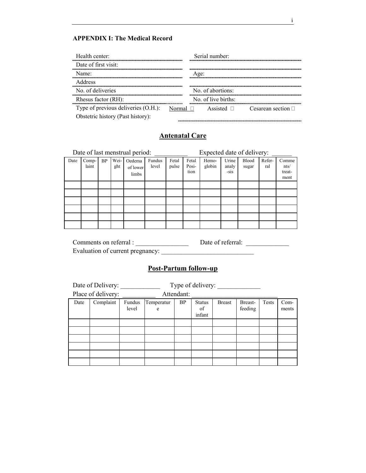#### **APPENDIX I: The Medical Record**

| Health center:                      | Serial number:                                           |
|-------------------------------------|----------------------------------------------------------|
| Date of first visit:                |                                                          |
| Name <sup>-</sup>                   | Age:                                                     |
| <b>Address</b>                      |                                                          |
| No of deliveries                    | No. of abortions:                                        |
| Rhesus factor (RH):                 | No. of live births:                                      |
| Type of previous deliveries (O.H.): | Assisted $\Box$ Cesarean section $\Box$<br>Normal $\Box$ |
| Obstetric history (Past history):   |                                                          |
|                                     |                                                          |

# **Antenatal Care**

|      |                |           |             | Date of last menstrual period: |                 |                |                        | Expected date of delivery: |                          |                       |               |                                 |
|------|----------------|-----------|-------------|--------------------------------|-----------------|----------------|------------------------|----------------------------|--------------------------|-----------------------|---------------|---------------------------------|
| Date | Comp-<br>laint | <b>BP</b> | Wei-<br>ght | Oedema<br>of lower<br>limbs    | Fundus<br>level | Fetal<br>pulse | Fetal<br>Posi-<br>tion | Hemo-<br>globin            | Urine<br>analy<br>$-sis$ | <b>Blood</b><br>sugar | Refer-<br>ral | Comme<br>nts/<br>treat-<br>ment |
|      |                |           |             |                                |                 |                |                        |                            |                          |                       |               |                                 |
|      |                |           |             |                                |                 |                |                        |                            |                          |                       |               |                                 |
|      |                |           |             |                                |                 |                |                        |                            |                          |                       |               |                                 |
|      |                |           |             |                                |                 |                |                        |                            |                          |                       |               |                                 |
|      |                |           |             |                                |                 |                |                        |                            |                          |                       |               |                                 |
|      |                |           |             |                                |                 |                |                        |                            |                          |                       |               |                                 |

Comments on referral : \_\_\_\_\_\_\_\_\_\_\_\_\_\_\_\_ Date of referral: \_\_\_\_\_\_\_\_\_\_\_\_\_ Evaluation of current pregnancy: \_\_\_\_\_\_\_\_\_\_\_\_\_\_\_\_\_\_\_\_\_\_\_\_\_\_\_\_

# **Post-Partum follow-up**

|      | Date of Delivery:  |                 |                 |            | Type of delivery:             |               |                    |       |               |
|------|--------------------|-----------------|-----------------|------------|-------------------------------|---------------|--------------------|-------|---------------|
|      | Place of delivery: |                 |                 | Attendant: |                               |               |                    |       |               |
| Date | Complaint          | Fundus<br>level | Temperatur<br>e | <b>BP</b>  | <b>Status</b><br>of<br>infant | <b>Breast</b> | Breast-<br>feeding | Tests | Com-<br>ments |
|      |                    |                 |                 |            |                               |               |                    |       |               |
|      |                    |                 |                 |            |                               |               |                    |       |               |
|      |                    |                 |                 |            |                               |               |                    |       |               |
|      |                    |                 |                 |            |                               |               |                    |       |               |
|      |                    |                 |                 |            |                               |               |                    |       |               |
|      |                    |                 |                 |            |                               |               |                    |       |               |

i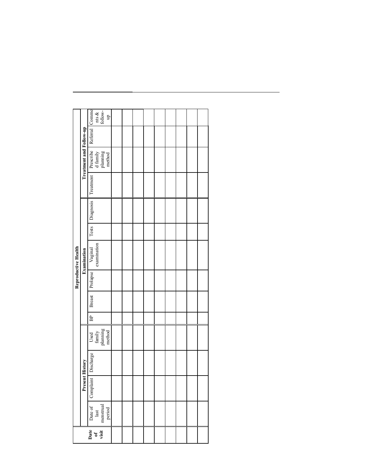| Diagnosis<br>Tests<br>Vaginal<br>examination<br>Examination<br>Prolapse<br>Breast<br>BP<br>Used<br>family<br>planning<br>method<br>Discharge<br>Date of Complaint<br>last<br>menstrual<br>period |                                                                                  |           |                |  |  | Reproductive Health |  |           |                                                                                                                                                                                                                                                  |  |
|--------------------------------------------------------------------------------------------------------------------------------------------------------------------------------------------------|----------------------------------------------------------------------------------|-----------|----------------|--|--|---------------------|--|-----------|--------------------------------------------------------------------------------------------------------------------------------------------------------------------------------------------------------------------------------------------------|--|
|                                                                                                                                                                                                  |                                                                                  | Present 1 | <b>History</b> |  |  |                     |  |           | Treatment and Follow-up                                                                                                                                                                                                                          |  |
|                                                                                                                                                                                                  | $\begin{bmatrix} \n\text{Date} \\ \n\text{of} \\ \n\text{visit} \n\end{bmatrix}$ |           |                |  |  |                     |  | Treatment | $\begin{tabular}{ l l } \hline \textbf{Precribe} & \textbf{Referral} & \textbf{Comm} \\ \hline \textbf{d family} & \textbf{nts} & \textbf{xs} \\ \textbf{planning} & \textbf{follow} \\ \textbf{method} & \textbf{blue} \\ \hline \end{tabular}$ |  |
|                                                                                                                                                                                                  |                                                                                  |           |                |  |  |                     |  |           |                                                                                                                                                                                                                                                  |  |
|                                                                                                                                                                                                  |                                                                                  |           |                |  |  |                     |  |           |                                                                                                                                                                                                                                                  |  |
|                                                                                                                                                                                                  |                                                                                  |           |                |  |  |                     |  |           |                                                                                                                                                                                                                                                  |  |
|                                                                                                                                                                                                  |                                                                                  |           |                |  |  |                     |  |           |                                                                                                                                                                                                                                                  |  |
|                                                                                                                                                                                                  |                                                                                  |           |                |  |  |                     |  |           |                                                                                                                                                                                                                                                  |  |
|                                                                                                                                                                                                  |                                                                                  |           |                |  |  |                     |  |           |                                                                                                                                                                                                                                                  |  |
|                                                                                                                                                                                                  |                                                                                  |           |                |  |  |                     |  |           |                                                                                                                                                                                                                                                  |  |
|                                                                                                                                                                                                  |                                                                                  |           |                |  |  |                     |  |           |                                                                                                                                                                                                                                                  |  |
|                                                                                                                                                                                                  |                                                                                  |           |                |  |  |                     |  |           |                                                                                                                                                                                                                                                  |  |